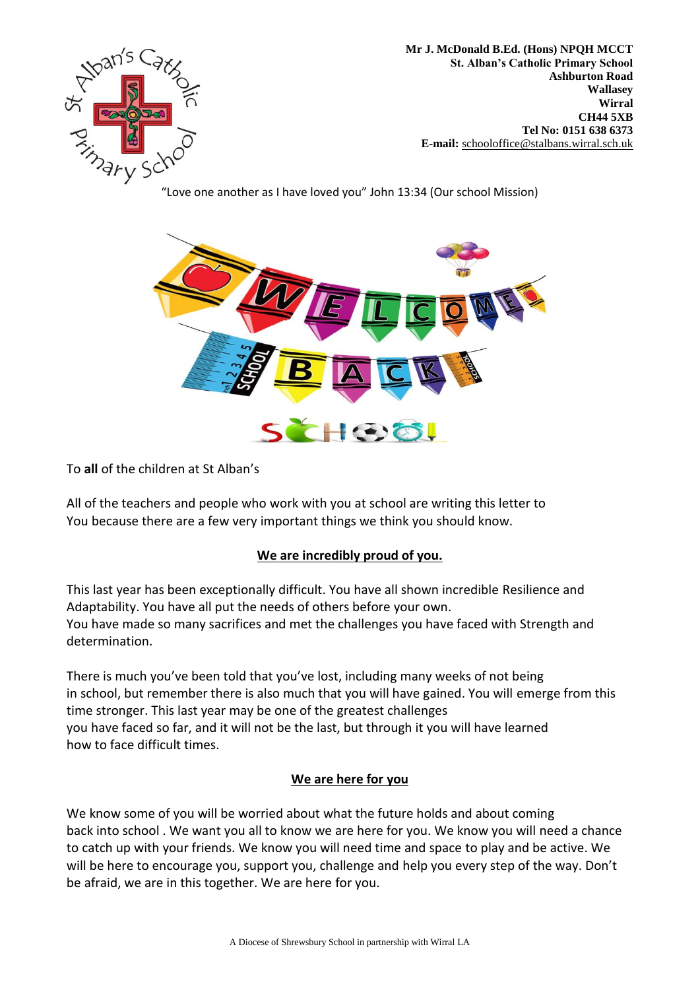

**Mr J. McDonald B.Ed. (Hons) NPQH MCCT St. Alban's Catholic Primary School Ashburton Road Wallasey Wirral CH44 5XB Tel No: 0151 638 6373 E-mail:** [schooloffice@stalbans.wirral.sch.](mailto:schooloffice@stalbans.wirral.sch.uk)uk

"Love one another as I have loved you" John 13:34 (Our school Mission)



To **all** of the children at St Alban's

All of the teachers and people who work with you at school are writing this letter to You because there are a few very important things we think you should know.

## **We are incredibly proud of you.**

This last year has been exceptionally difficult. You have all shown incredible Resilience and Adaptability. You have all put the needs of others before your own. You have made so many sacrifices and met the challenges you have faced with Strength and determination.

There is much you've been told that you've lost, including many weeks of not being in school, but remember there is also much that you will have gained. You will emerge from this time stronger. This last year may be one of the greatest challenges you have faced so far, and it will not be the last, but through it you will have learned how to face difficult times.

## **We are here for you**

We know some of you will be worried about what the future holds and about coming back into school . We want you all to know we are here for you. We know you will need a chance to catch up with your friends. We know you will need time and space to play and be active. We will be here to encourage you, support you, challenge and help you every step of the way. Don't be afraid, we are in this together. We are here for you.